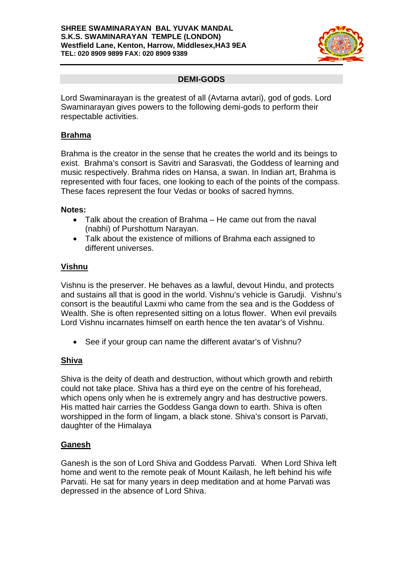#### **SHREE SWAMINARAYAN BAL YUVAK MANDAL S.K.S. SWAMINARAYAN TEMPLE (LONDON) Westfield Lane, Kenton, Harrow, Middlesex,HA3 9EA TEL: 020 8909 9899 FAX: 020 8909 9389**



# **DEMI-GODS**

Lord Swaminarayan is the greatest of all (Avtarna avtari), god of gods. Lord Swaminarayan gives powers to the following demi-gods to perform their respectable activities.

## **Brahma**

Brahma is the creator in the sense that he creates the world and its beings to exist. Brahma's consort is Savitri and Sarasvati, the Goddess of learning and music respectively. Brahma rides on Hansa, a swan. In Indian art, Brahma is represented with four faces, one looking to each of the points of the compass. These faces represent the four Vedas or books of sacred hymns.

#### **Notes:**

- Talk about the creation of Brahma He came out from the naval (nabhi) of Purshottum Narayan.
- Talk about the existence of millions of Brahma each assigned to different universes.

### **Vishnu**

Vishnu is the preserver. He behaves as a lawful, devout Hindu, and protects and sustains all that is good in the world. Vishnu's vehicle is Garudji. Vishnu's consort is the beautiful Laxmi who came from the sea and is the Goddess of Wealth. She is often represented sitting on a lotus flower. When evil prevails Lord Vishnu incarnates himself on earth hence the ten avatar's of Vishnu.

• See if your group can name the different avatar's of Vishnu?

### **Shiva**

Shiva is the deity of death and destruction, without which growth and rebirth could not take place. Shiva has a third eye on the centre of his forehead, which opens only when he is extremely angry and has destructive powers. His matted hair carries the Goddess Ganga down to earth. Shiva is often worshipped in the form of lingam, a black stone. Shiva's consort is Parvati, daughter of the Himalaya

### **Ganesh**

Ganesh is the son of Lord Shiva and Goddess Parvati. When Lord Shiva left home and went to the remote peak of Mount Kailash, he left behind his wife Parvati. He sat for many years in deep meditation and at home Parvati was depressed in the absence of Lord Shiva.